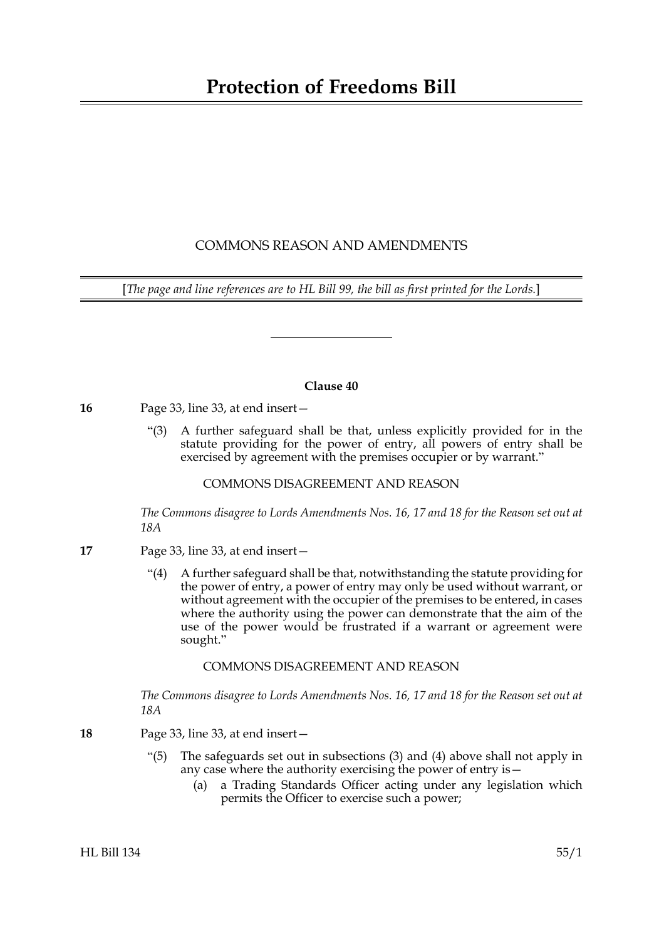# **Protection of Freedoms Bill**

# COMMONS REASON AND AMENDMENTS

[*The page and line references are to HL Bill 99, the bill as first printed for the Lords.*]

### **Clause 40**

**16** Page 33, line 33, at end insert—

"(3) A further safeguard shall be that, unless explicitly provided for in the statute providing for the power of entry, all powers of entry shall be exercised by agreement with the premises occupier or by warrant."

## COMMONS DISAGREEMENT AND REASON

*The Commons disagree to Lords Amendments Nos. 16, 17 and 18 for the Reason set out at 18A*

- **17** Page 33, line 33, at end insert—
	- "(4) A further safeguard shall be that, notwithstanding the statute providing for the power of entry, a power of entry may only be used without warrant, or without agreement with the occupier of the premises to be entered, in cases where the authority using the power can demonstrate that the aim of the use of the power would be frustrated if a warrant or agreement were sought."

## COMMONS DISAGREEMENT AND REASON

*The Commons disagree to Lords Amendments Nos. 16, 17 and 18 for the Reason set out at 18A*

- **18** Page 33, line 33, at end insert—
	- "(5) The safeguards set out in subsections (3) and (4) above shall not apply in any case where the authority exercising the power of entry is—
		- (a) a Trading Standards Officer acting under any legislation which permits the Officer to exercise such a power;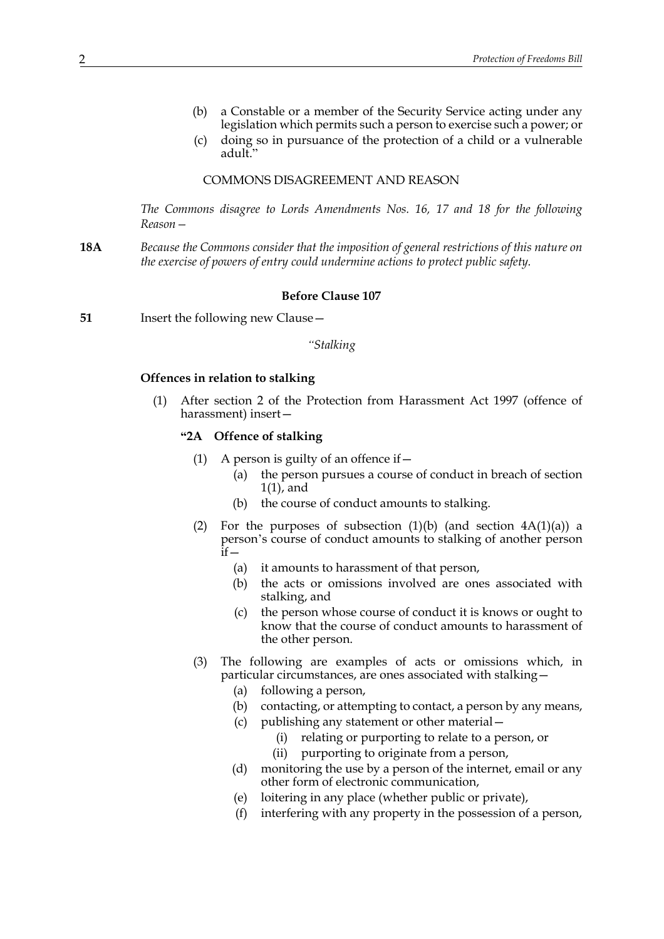- (b) a Constable or a member of the Security Service acting under any legislation which permits such a person to exercise such a power; or
- (c) doing so in pursuance of the protection of a child or a vulnerable adult."

#### COMMONS DISAGREEMENT AND REASON

*The Commons disagree to Lords Amendments Nos. 16, 17 and 18 for the following Reason—*

**18A** *Because the Commons consider that the imposition of general restrictions of this nature on the exercise of powers of entry could undermine actions to protect public safety.*

#### **Before Clause 107**

**51** Insert the following new Clause —

#### *"Stalking*

#### **Offences in relation to stalking**

(1) After section 2 of the Protection from Harassment Act 1997 (offence of harassment) insert—

## **"2A Offence of stalking**

- (1) A person is guilty of an offence if  $-$ 
	- (a) the person pursues a course of conduct in breach of section 1(1), and
	- (b) the course of conduct amounts to stalking.
- (2) For the purposes of subsection  $(1)(b)$  (and section  $4A(1)(a)$ ) a person's course of conduct amounts to stalking of another person  $\overline{\mathbf{i}}$ f $-$ 
	- (a) it amounts to harassment of that person,
	- (b) the acts or omissions involved are ones associated with stalking, and
	- (c) the person whose course of conduct it is knows or ought to know that the course of conduct amounts to harassment of the other person.
- (3) The following are examples of acts or omissions which, in particular circumstances, are ones associated with stalking—
	- (a) following a person,
	- (b) contacting, or attempting to contact, a person by any means,
	- (c) publishing any statement or other material—
		- (i) relating or purporting to relate to a person, or
		- (ii) purporting to originate from a person,
	- (d) monitoring the use by a person of the internet, email or any other form of electronic communication,
	- (e) loitering in any place (whether public or private),
	- (f) interfering with any property in the possession of a person,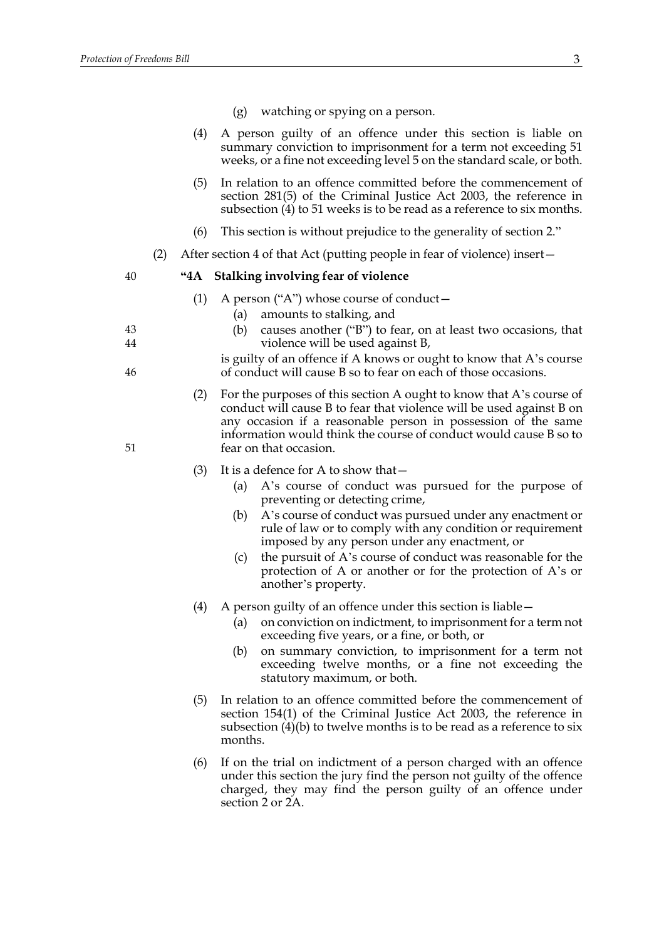- (g) watching or spying on a person.
- (4) A person guilty of an offence under this section is liable on summary conviction to imprisonment for a term not exceeding 51 weeks, or a fine not exceeding level 5 on the standard scale, or both.
- (5) In relation to an offence committed before the commencement of section 281(5) of the Criminal Justice Act 2003, the reference in subsection (4) to 51 weeks is to be read as a reference to six months.
- (6) This section is without prejudice to the generality of section 2."
- (2) After section 4 of that Act (putting people in fear of violence) insert—

#### **"4A Stalking involving fear of violence**

- (1) A person ("A") whose course of conduct—
	- (a) amounts to stalking, and
	- (b) causes another ("B") to fear, on at least two occasions, that violence will be used against B,
	- is guilty of an offence if A knows or ought to know that A's course of conduct will cause B so to fear on each of those occasions.
- (2) For the purposes of this section A ought to know that A's course of conduct will cause B to fear that violence will be used against B on any occasion if a reasonable person in possession of the same information would think the course of conduct would cause B so to fear on that occasion.
- (3) It is a defence for A to show that—
	- (a) A's course of conduct was pursued for the purpose of preventing or detecting crime,
	- (b) A's course of conduct was pursued under any enactment or rule of law or to comply with any condition or requirement imposed by any person under any enactment, or
	- (c) the pursuit of A's course of conduct was reasonable for the protection of A or another or for the protection of A's or another's property.
- (4) A person guilty of an offence under this section is liable—
	- (a) on conviction on indictment, to imprisonment for a term not exceeding five years, or a fine, or both, or
	- (b) on summary conviction, to imprisonment for a term not exceeding twelve months, or a fine not exceeding the statutory maximum, or both.
- (5) In relation to an offence committed before the commencement of section 154(1) of the Criminal Justice Act 2003, the reference in subsection  $(4)(b)$  to twelve months is to be read as a reference to six months.
- (6) If on the trial on indictment of a person charged with an offence under this section the jury find the person not guilty of the offence charged, they may find the person guilty of an offence under section 2 or 2A.

44

43

46

40

51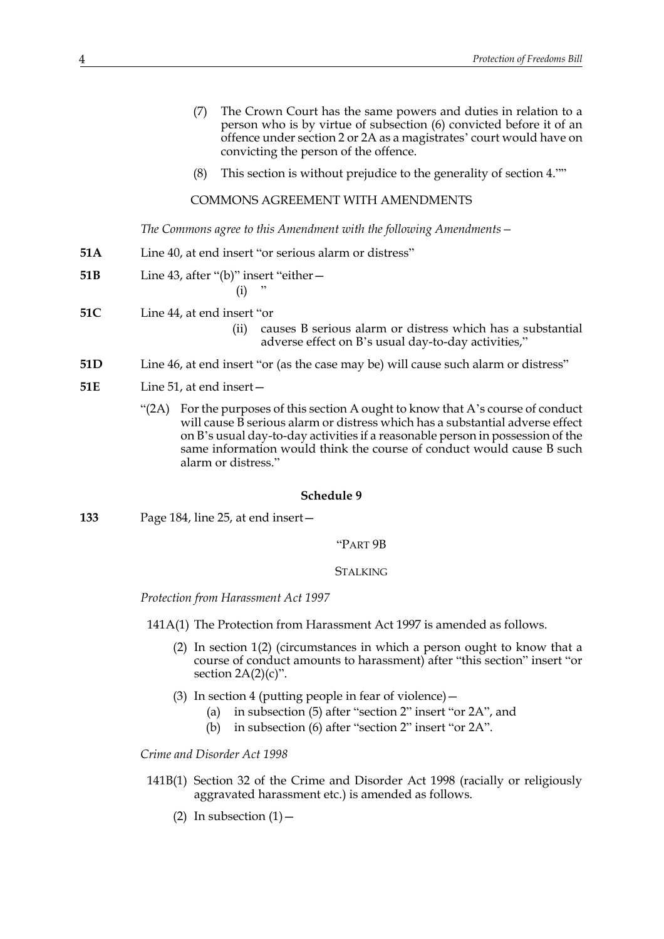- (7) The Crown Court has the same powers and duties in relation to a person who is by virtue of subsection (6) convicted before it of an offence under section 2 or 2A as a magistrates' court would have on convicting the person of the offence.
- (8) This section is without prejudice to the generality of section 4.""

COMMONS AGREEMENT WITH AMENDMENTS

*The Commons agree to this Amendment with the following Amendments—*

- **51A** Line 40, at end insert "or serious alarm or distress"
- **51B** Line 43, after "(b)" insert "either—

 $(i)$ 

- **51C** Line 44, at end insert "or
	- (ii) causes B serious alarm or distress which has a substantial adverse effect on B's usual day-to-day activities,"
- **51D** Line 46, at end insert "or (as the case may be) will cause such alarm or distress"
- **51E** Line 51, at end insert—
	- " $(2A)$  For the purposes of this section A ought to know that A's course of conduct will cause B serious alarm or distress which has a substantial adverse effect on B's usual day-to-day activities if a reasonable person in possession of the same information would think the course of conduct would cause B such alarm or distress."

#### **Schedule 9**

**133** Page 184, line 25, at end insert—

"PART 9B

# **STALKING**

*Protection from Harassment Act 1997*

141A(1) The Protection from Harassment Act 1997 is amended as follows.

- (2) In section 1(2) (circumstances in which a person ought to know that a course of conduct amounts to harassment) after "this section" insert "or section  $2A(2)(c)$ ".
- (3) In section 4 (putting people in fear of violence)—
	- (a) in subsection (5) after "section 2" insert "or 2A", and
	- (b) in subsection (6) after "section 2" insert "or 2A".

*Crime and Disorder Act 1998*

- 141B(1) Section 32 of the Crime and Disorder Act 1998 (racially or religiously aggravated harassment etc.) is amended as follows.
	- (2) In subsection  $(1)$  -